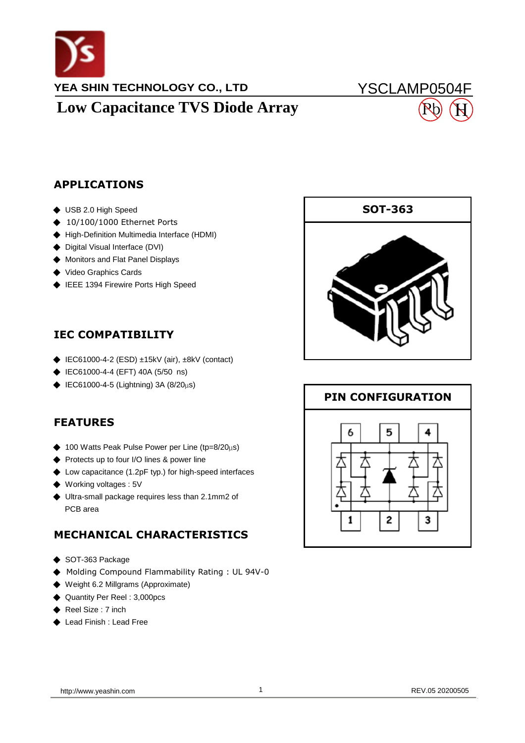

## **YEA SHIN TECHNOLOGY CO., LTD Low Capacitance TVS Diode Array**

# YSCLAMP0504F H

#### **APPLICATIONS**

- ◆ USB 2.0 High Speed
- ◆ 10/100/1000 Ethernet Ports
- ◆ High-Definition Multimedia Interface (HDMI)
- ◆ Digital Visual Interface (DVI)
- ◆ Monitors and Flat Panel Displays
- ◆ Video Graphics Cards
- ◆ IEEE 1394 Firewire Ports High Speed

### **IEC COMPATIBILITY**

- ◆ IEC61000-4-2 (ESD) ±15kV (air), ±8kV (contact)
- ◆ IEC61000-4-4 (EFT) 40A (5/50 ns)
- ◆ IEC61000-4-5 (Lightning) 3A (8/20µs)

### **FEATURES**

- ◆ 100 Watts Peak Pulse Power per Line (tp=8/20 $\mu$ s)
- ◆ Protects up to four I/O lines & power line
- ◆ Low capacitance (1.2pF typ.) for high-speed interfaces
- ◆ Working voltages : 5V
- PCB area ◆ Ultra-small package requires less than 2.1mm2 of

### **MECHANICAL CHARACTERISTICS**

- ◆ SOT-363 Package
- ◆ Molding Compound Flammability Rating : UL 94V-0
- ◆ Weight 6.2 Millgrams (Approximate)
- ◆ Quantity Per Reel : 3,000pcs
- ◆ Reel Size : 7 inch
- ◆ Lead Finish : Lead Free



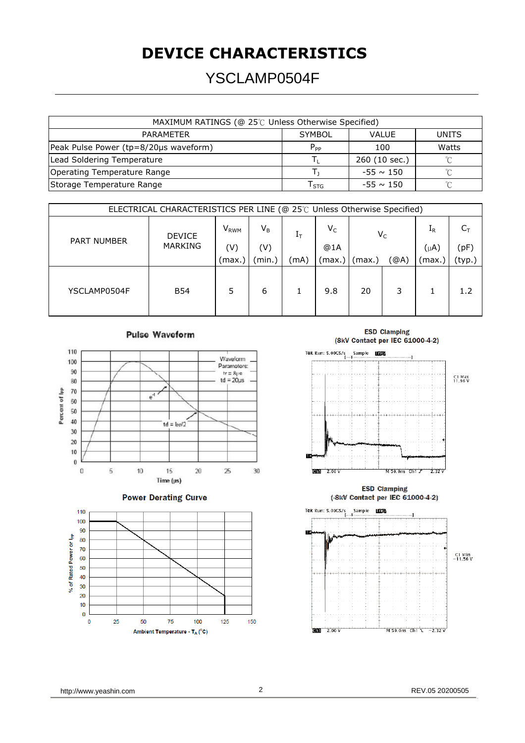## **DEVICE CHARACTERISTICS**

## YSCLAMP0504F

| MAXIMUM RATINGS (@ 25℃ Unless Otherwise Specified) |                             |                |        |  |  |  |  |  |
|----------------------------------------------------|-----------------------------|----------------|--------|--|--|--|--|--|
| <b>PARAMETER</b>                                   | <b>SYMBOL</b>               | <b>VALUE</b>   | UNITS  |  |  |  |  |  |
| Peak Pulse Power (tp=8/20µs waveform)              | $P_{PP}$                    | 100            | Watts  |  |  |  |  |  |
| Lead Soldering Temperature                         |                             | 260 (10 sec.)  |        |  |  |  |  |  |
| <b>Operating Temperature Range</b>                 |                             | $-55 \sim 150$ | $\sim$ |  |  |  |  |  |
| Storage Temperature Range                          | $\mathsf{T}_{\textsf{STG}}$ | $-55 \sim 150$ | $\sim$ |  |  |  |  |  |
|                                                    |                             |                |        |  |  |  |  |  |

| ELECTRICAL CHARACTERISTICS PER LINE (@ 25℃ Unless Otherwise Specified) |                                 |                         |        |                |        |        |       |         |        |  |
|------------------------------------------------------------------------|---------------------------------|-------------------------|--------|----------------|--------|--------|-------|---------|--------|--|
| <b>PART NUMBER</b>                                                     | <b>DEVICE</b><br><b>MARKING</b> | <b>V</b> <sub>RWM</sub> | $V_B$  | 1 <sub>T</sub> | $V_C$  |        | $V_C$ | $I_{R}$ |        |  |
|                                                                        |                                 | (V)                     | (V)    |                | @1A    |        |       |         | (pF)   |  |
|                                                                        |                                 | (max.`                  | (min.) | (mA)           | (max.) | (max.) | (@A)  | (max.i  | (typ.) |  |
| YSCLAMP0504F                                                           | <b>B54</b>                      | 5                       | 6      |                | 9.8    | 20     | 3     |         | 1.2    |  |







**ESD Clamping** (8kV Contact per IEC 61000-4-2)





http://www.yeashin.com 2 2 REV.05 20200505